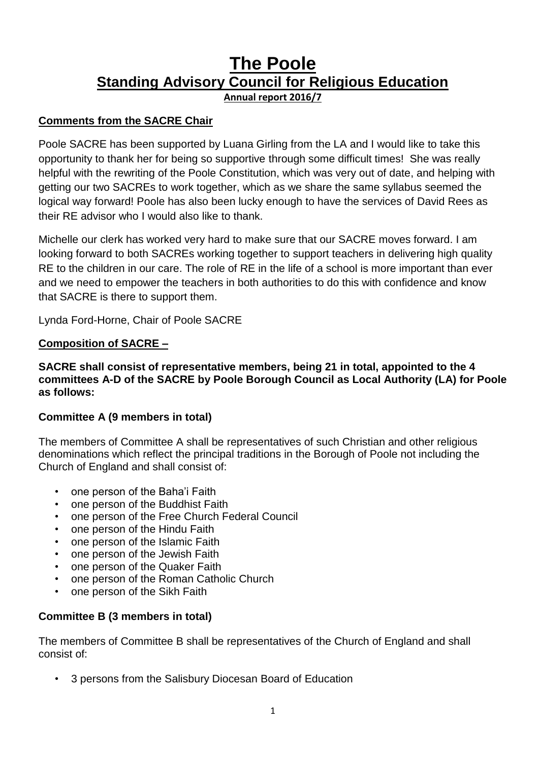# **The Poole Standing Advisory Council for Religious Education Annual report 2016/7**

## **Comments from the SACRE Chair**

Poole SACRE has been supported by Luana Girling from the LA and I would like to take this opportunity to thank her for being so supportive through some difficult times! She was really helpful with the rewriting of the Poole Constitution, which was very out of date, and helping with getting our two SACREs to work together, which as we share the same syllabus seemed the logical way forward! Poole has also been lucky enough to have the services of David Rees as their RE advisor who I would also like to thank.

Michelle our clerk has worked very hard to make sure that our SACRE moves forward. I am looking forward to both SACREs working together to support teachers in delivering high quality RE to the children in our care. The role of RE in the life of a school is more important than ever and we need to empower the teachers in both authorities to do this with confidence and know that SACRE is there to support them.

Lynda Ford-Horne, Chair of Poole SACRE

## **Composition of SACRE –**

**SACRE shall consist of representative members, being 21 in total, appointed to the 4 committees A-D of the SACRE by Poole Borough Council as Local Authority (LA) for Poole as follows:** 

### **Committee A (9 members in total)**

The members of Committee A shall be representatives of such Christian and other religious denominations which reflect the principal traditions in the Borough of Poole not including the Church of England and shall consist of:

- one person of the Baha'i Faith
- one person of the Buddhist Faith
- one person of the Free Church Federal Council
- one person of the Hindu Faith
- one person of the Islamic Faith
- one person of the Jewish Faith
- one person of the Quaker Faith
- one person of the Roman Catholic Church
- one person of the Sikh Faith

## **Committee B (3 members in total)**

The members of Committee B shall be representatives of the Church of England and shall consist of:

• 3 persons from the Salisbury Diocesan Board of Education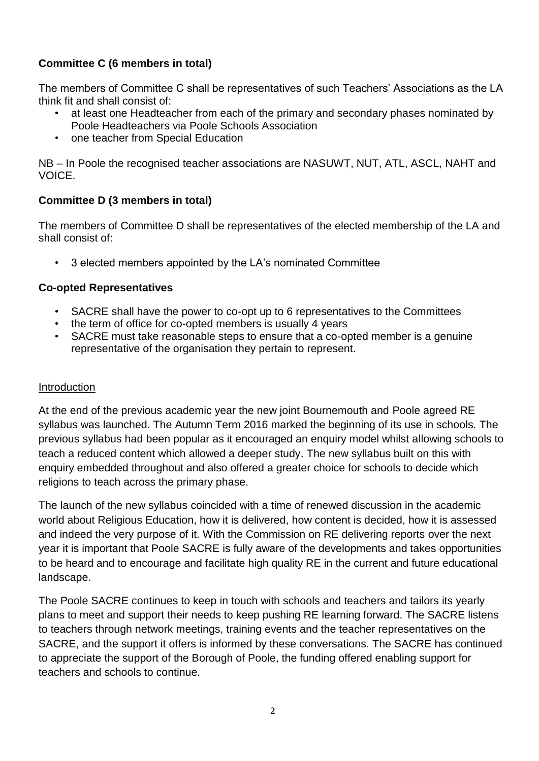## **Committee C (6 members in total)**

The members of Committee C shall be representatives of such Teachers' Associations as the LA think fit and shall consist of:

- at least one Headteacher from each of the primary and secondary phases nominated by Poole Headteachers via Poole Schools Association
- one teacher from Special Education

NB – In Poole the recognised teacher associations are NASUWT, NUT, ATL, ASCL, NAHT and VOICE.

## **Committee D (3 members in total)**

The members of Committee D shall be representatives of the elected membership of the LA and shall consist of:

• 3 elected members appointed by the LA's nominated Committee

## **Co-opted Representatives**

- SACRE shall have the power to co-opt up to 6 representatives to the Committees
- the term of office for co-opted members is usually 4 years
- SACRE must take reasonable steps to ensure that a co-opted member is a genuine representative of the organisation they pertain to represent.

### **Introduction**

At the end of the previous academic year the new joint Bournemouth and Poole agreed RE syllabus was launched. The Autumn Term 2016 marked the beginning of its use in schools. The previous syllabus had been popular as it encouraged an enquiry model whilst allowing schools to teach a reduced content which allowed a deeper study. The new syllabus built on this with enquiry embedded throughout and also offered a greater choice for schools to decide which religions to teach across the primary phase.

The launch of the new syllabus coincided with a time of renewed discussion in the academic world about Religious Education, how it is delivered, how content is decided, how it is assessed and indeed the very purpose of it. With the Commission on RE delivering reports over the next year it is important that Poole SACRE is fully aware of the developments and takes opportunities to be heard and to encourage and facilitate high quality RE in the current and future educational landscape.

The Poole SACRE continues to keep in touch with schools and teachers and tailors its yearly plans to meet and support their needs to keep pushing RE learning forward. The SACRE listens to teachers through network meetings, training events and the teacher representatives on the SACRE, and the support it offers is informed by these conversations. The SACRE has continued to appreciate the support of the Borough of Poole, the funding offered enabling support for teachers and schools to continue.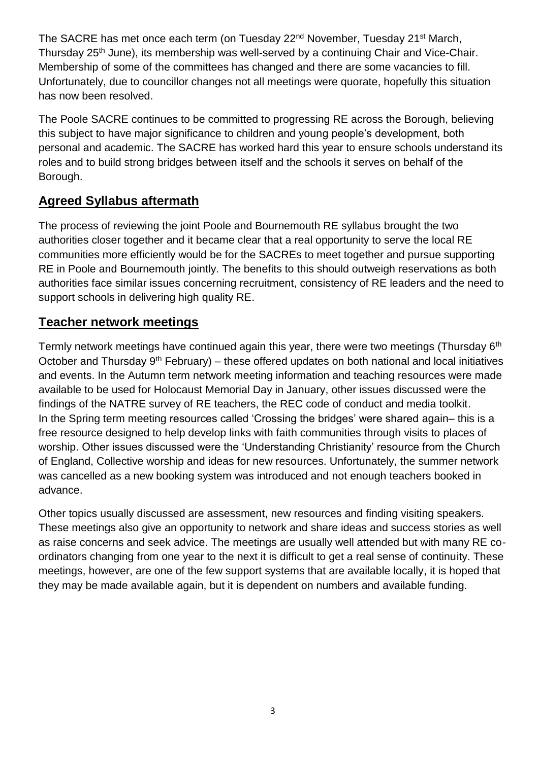The SACRE has met once each term (on Tuesday 22<sup>nd</sup> November, Tuesday 21<sup>st</sup> March, Thursday 25th June), its membership was well-served by a continuing Chair and Vice-Chair. Membership of some of the committees has changed and there are some vacancies to fill. Unfortunately, due to councillor changes not all meetings were quorate, hopefully this situation has now been resolved.

The Poole SACRE continues to be committed to progressing RE across the Borough, believing this subject to have major significance to children and young people's development, both personal and academic. The SACRE has worked hard this year to ensure schools understand its roles and to build strong bridges between itself and the schools it serves on behalf of the Borough.

## **Agreed Syllabus aftermath**

The process of reviewing the joint Poole and Bournemouth RE syllabus brought the two authorities closer together and it became clear that a real opportunity to serve the local RE communities more efficiently would be for the SACREs to meet together and pursue supporting RE in Poole and Bournemouth jointly. The benefits to this should outweigh reservations as both authorities face similar issues concerning recruitment, consistency of RE leaders and the need to support schools in delivering high quality RE.

## **Teacher network meetings**

Termly network meetings have continued again this year, there were two meetings (Thursday 6<sup>th</sup>) October and Thursday  $9<sup>th</sup>$  February) – these offered updates on both national and local initiatives and events. In the Autumn term network meeting information and teaching resources were made available to be used for Holocaust Memorial Day in January, other issues discussed were the findings of the NATRE survey of RE teachers, the REC code of conduct and media toolkit. In the Spring term meeting resources called 'Crossing the bridges' were shared again– this is a free resource designed to help develop links with faith communities through visits to places of worship. Other issues discussed were the 'Understanding Christianity' resource from the Church of England, Collective worship and ideas for new resources. Unfortunately, the summer network was cancelled as a new booking system was introduced and not enough teachers booked in advance.

Other topics usually discussed are assessment, new resources and finding visiting speakers. These meetings also give an opportunity to network and share ideas and success stories as well as raise concerns and seek advice. The meetings are usually well attended but with many RE coordinators changing from one year to the next it is difficult to get a real sense of continuity. These meetings, however, are one of the few support systems that are available locally, it is hoped that they may be made available again, but it is dependent on numbers and available funding.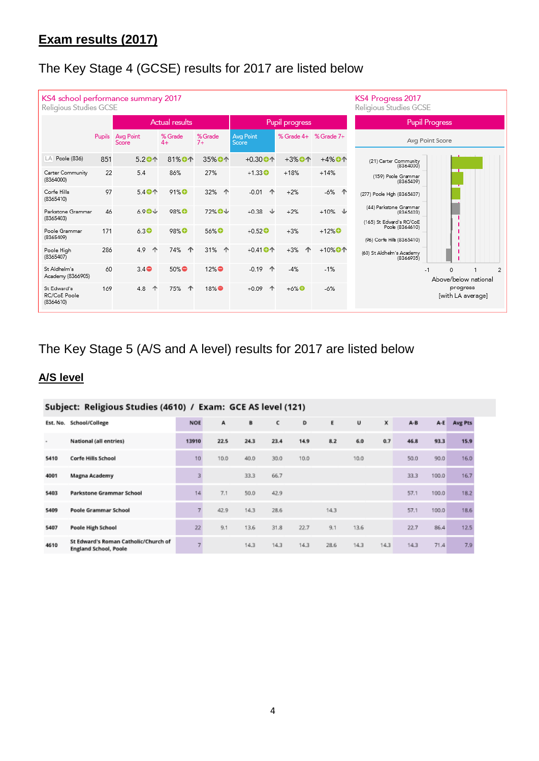# The Key Stage 4 (GCSE) results for 2017 are listed below

| KS4 school performance summary 2017<br>KS4 Progress 2017<br>Religious Studies GCSE<br>Religious Studies GCSE |        |                    |                       |                  |                      |                       |                        |                                                                 |  |  |  |  |  |
|--------------------------------------------------------------------------------------------------------------|--------|--------------------|-----------------------|------------------|----------------------|-----------------------|------------------------|-----------------------------------------------------------------|--|--|--|--|--|
|                                                                                                              |        |                    | <b>Actual results</b> |                  |                      | Pupil progress        |                        | <b>Pupil Progress</b>                                           |  |  |  |  |  |
|                                                                                                              | Pupils | Avg Point<br>Score | % Grade<br>$4+$       | % Grade<br>$7+$  | Avg Point<br>Score   | % Grade 4+ % Grade 7+ |                        | Avg Point Score                                                 |  |  |  |  |  |
| Poole (836)<br>LA                                                                                            | 851    | 5.20个              | 81%0个                 | 35% 小个           | $+0.30$ <sup>O</sup> | $+3%$ <sup>O</sup>    | $+4%$ <sup>O</sup>     | (21) Carter Community<br>(8364000)                              |  |  |  |  |  |
| Carter Community<br>(8364000)                                                                                | 22     | 5.4                | 86%                   | 27%              | $+1.33$ $\bullet$    | $+18%$                | $+14%$                 | (159) Poole Grammar<br>(8365409)                                |  |  |  |  |  |
| Corfe Hills<br>(8365410)                                                                                     | 97     | 5.40个              | 91% <sup>O</sup>      | 32% 个            | $-0.01$<br>个         | $+2%$                 | -6%<br>↑               | (277) Poole High (8365407)                                      |  |  |  |  |  |
| Parkstone Grammar<br>(8365403)                                                                               | 46     | $6.90\text{V}$     | 98% <sup>O</sup>      | 72% +            | ↓<br>$+0.38$         | $+2%$                 | $+10\%$ $\psi$         | (44) Parkstone Grammar<br>(8365403)<br>(165) St Edward's RC/CoE |  |  |  |  |  |
| Poole Grammar<br>(8365409)                                                                                   | 171    | 6.3 <sup>°</sup>   | 98% <sup>O</sup>      | 56% <sup>O</sup> | $+0.52$ <sup>O</sup> | $+3%$                 | $+12\%$ <sup>O</sup>   | Poole (8364610)<br>(96) Corfe Hills (8365410)                   |  |  |  |  |  |
| Poole High<br>(8365407)                                                                                      | 286    | 4.9<br>个           | 74%<br>个              | 31% 个            | $+0.41$ O 个          | $+3%$<br>个            | $+10\%$ O <sup>1</sup> | (60) St Aldhelm's Academy<br>(8366905)                          |  |  |  |  |  |
| St Aldhelm's<br>Academy (8366905)                                                                            | 60     | $3.4\oplus$        | $50\%$                | $12\%$           | $-0.19$<br>个         | $-4%$                 | $-1%$                  | $\Omega$<br>$\overline{2}$<br>$-1$<br>Above/below national      |  |  |  |  |  |
| St Edward's<br>RC/CoE Poole<br>(8364610)                                                                     | 169    | ↑<br>4.8           | 个<br>75%              | 18%●             | 个<br>$+0.09$         | $+6\%$ <sup>O</sup>   | $-6%$                  | progress<br>[with LA average]                                   |  |  |  |  |  |

# The Key Stage 5 (A/S and A level) results for 2017 are listed below

# **A/S level**

| Subject: Religious Studies (4610) / Exam: GCE AS level (121) |                                                                      |           |      |      |      |      |      |      |      |      |       |         |
|--------------------------------------------------------------|----------------------------------------------------------------------|-----------|------|------|------|------|------|------|------|------|-------|---------|
|                                                              | School/College<br>Est. No.                                           |           | A    | B    | с    | D    | E    | U    | x    | A-B  | $A-E$ | Avg Pts |
| $\,$                                                         | National (all entries)                                               | 13910     | 22.5 | 24.3 | 23.4 | 14.9 | 8.2  | 6.0  | 0.7  | 46.8 | 93.3  | 15.9    |
| 5410                                                         | Corfe Hills School                                                   | $10^{-1}$ | 10.0 | 40.0 | 30.0 | 10.0 |      | 10.0 |      | 50.0 | 90.0  | 16.0    |
| 4001                                                         | Magna Academy                                                        |           |      | 33.3 | 66.7 |      |      |      |      | 33.3 | 100.0 | 16.7    |
| 5403                                                         | Parkstone Grammar School                                             | 14        | 7.1  | 50.0 | 42.9 |      |      |      |      | 57.1 | 100.0 | 18.2    |
| 5409                                                         | Poole Grammar School                                                 |           | 42.9 | 14.3 | 28.6 |      | 14.3 |      |      | 57.1 | 100.0 | 18.6    |
| 5407                                                         | Poole High School                                                    | 22        | 9.1  | 13.6 | 31.8 | 22.7 | 9.1  | 13.6 |      | 22.7 | 86.4  | 12.5    |
| 4610                                                         | St Edward's Roman Catholic/Church of<br><b>England School, Poole</b> |           |      | 14.3 | 14.3 | 14.3 | 28.6 | 14.3 | 14.3 | 14.3 | 71.4  | 7.9     |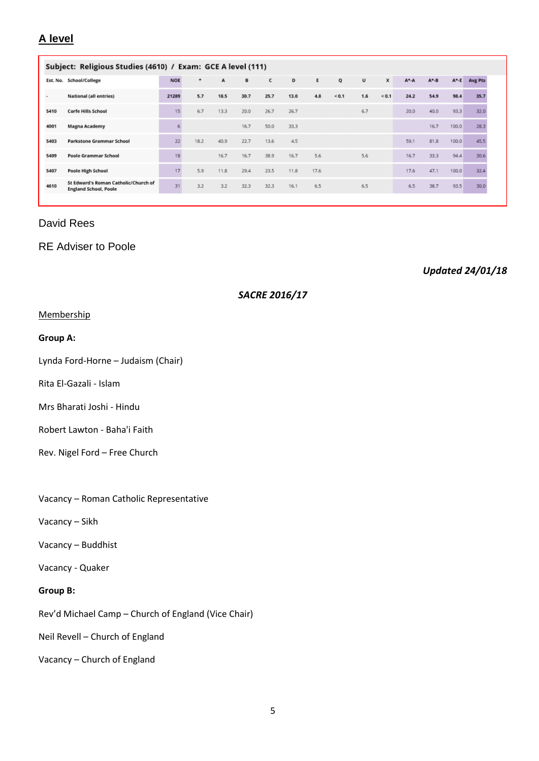### **A level**

| Subject: Religious Studies (4610) / Exam: GCE A level (111) |                                                                      |            |         |      |      |      |      |      |            |     |              |           |             |       |         |
|-------------------------------------------------------------|----------------------------------------------------------------------|------------|---------|------|------|------|------|------|------------|-----|--------------|-----------|-------------|-------|---------|
|                                                             | Est. No. School/College                                              | <b>NOE</b> | $\star$ | A    | B    | c    | D    | E    | Q          | U   | $\mathbf{x}$ | $A^+ - A$ | $A^* - B$   | A*E   | Avg Pts |
| ٠                                                           | National (all entries)                                               | 21289      | 5.7     | 18.5 | 30.7 | 25.7 | 13.0 | 4.8  | ${}_{0.1}$ | 1.6 | ${}< 0.1$    | 24.2      | 54.9        | 98.4  | 35.7    |
| 5410                                                        | <b>Corfe Hills School</b>                                            | 15         | 6.7     | 13.3 | 20.0 | 26.7 | 26.7 |      |            | 6.7 |              | 20.0      | 40.0        | 93.3  | 32.0    |
| 4001                                                        | Magna Academy                                                        | 6          |         |      | 16.7 | 50.0 | 33.3 |      |            |     |              |           | 16.7        | 100.0 | 28.3    |
| 5403                                                        | <b>Parkstone Grammar School</b>                                      | 22         | 18.2    | 40.9 | 22.7 | 13.6 | 4.5  |      |            |     |              | 59.1      | <b>B1.8</b> | 100.0 | 45.5    |
| 5409                                                        | Poole Grammar School                                                 | 18         |         | 16.7 | 16.7 | 38.9 | 16.7 | 5.6  |            | 5.6 |              | 16.7      | 33.3        | 94.4  | 30.6    |
| 5407                                                        | Poole High School                                                    | 17         | 5.9     | 11.8 | 29.4 | 23.5 | 11.8 | 17.6 |            |     |              | 17.6      | 47.1        | 100.0 | 32.4    |
| 4610                                                        | St Edward's Roman Catholic/Church of<br><b>England School, Poole</b> | 31         | 3.2     | 3.2  | 32.3 | 32.3 | 16.1 | 6.5  |            | 6.5 |              | 6.5       | 38.7        | 93.5  | 30.0    |

### David Rees

### RE Adviser to Poole

*Updated 24/01/18*

#### *SACRE 2016/17*

#### **Membership**

#### **Group A:**

Lynda Ford-Horne – Judaism (Chair)

Rita El-Gazali - Islam

Mrs Bharati Joshi - Hindu

Robert Lawton - Baha'i Faith

- Rev. Nigel Ford Free Church
- Vacancy Roman Catholic Representative
- Vacancy Sikh
- Vacancy Buddhist
- Vacancy Quaker

#### **Group B:**

Rev'd Michael Camp – Church of England (Vice Chair)

Neil Revell – Church of England

Vacancy – Church of England